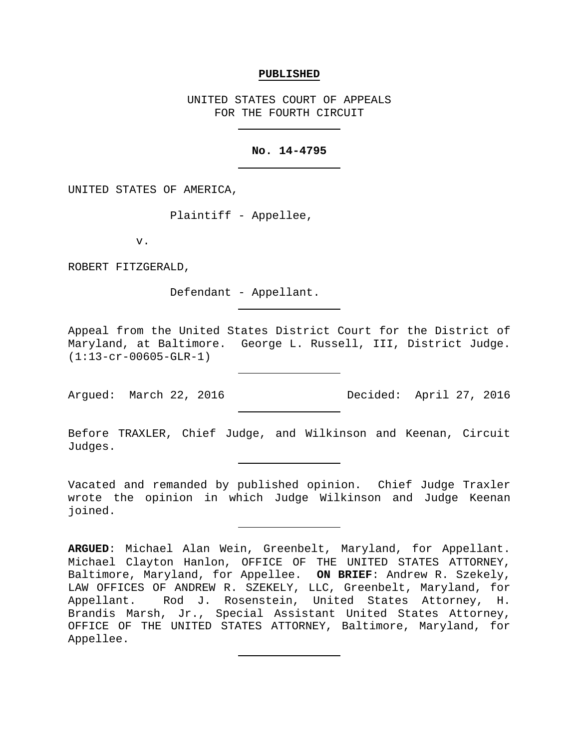### **PUBLISHED**

UNITED STATES COURT OF APPEALS FOR THE FOURTH CIRCUIT

### **No. 14-4795**

UNITED STATES OF AMERICA,

Plaintiff - Appellee,

v.

ROBERT FITZGERALD,

Defendant - Appellant.

Appeal from the United States District Court for the District of Maryland, at Baltimore. George L. Russell, III, District Judge. (1:13-cr-00605-GLR-1)

Argued: March 22, 2016 Decided: April 27, 2016

Before TRAXLER, Chief Judge, and Wilkinson and Keenan, Circuit Judges.

Vacated and remanded by published opinion. Chief Judge Traxler wrote the opinion in which Judge Wilkinson and Judge Keenan joined.

**ARGUED**: Michael Alan Wein, Greenbelt, Maryland, for Appellant. Michael Clayton Hanlon, OFFICE OF THE UNITED STATES ATTORNEY, Baltimore, Maryland, for Appellee. **ON BRIEF**: Andrew R. Szekely, LAW OFFICES OF ANDREW R. SZEKELY, LLC, Greenbelt, Maryland, for Appellant. Rod J. Rosenstein, United States Attorney, H. Brandis Marsh, Jr., Special Assistant United States Attorney, OFFICE OF THE UNITED STATES ATTORNEY, Baltimore, Maryland, for Appellee.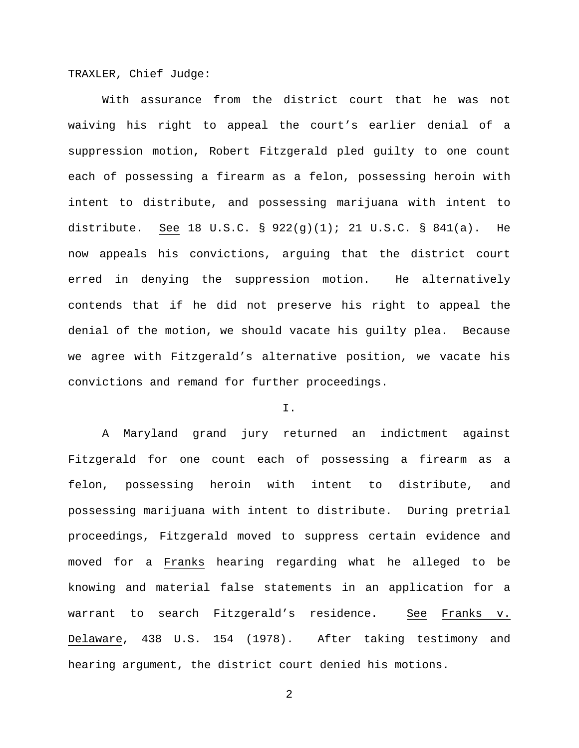TRAXLER, Chief Judge:

With assurance from the district court that he was not waiving his right to appeal the court's earlier denial of a suppression motion, Robert Fitzgerald pled guilty to one count each of possessing a firearm as a felon, possessing heroin with intent to distribute, and possessing marijuana with intent to distribute. See 18 U.S.C. § 922(g)(1); 21 U.S.C. § 841(a). He now appeals his convictions, arguing that the district court erred in denying the suppression motion. He alternatively contends that if he did not preserve his right to appeal the denial of the motion, we should vacate his guilty plea. Because we agree with Fitzgerald's alternative position, we vacate his convictions and remand for further proceedings.

## I.

A Maryland grand jury returned an indictment against Fitzgerald for one count each of possessing a firearm as a felon, possessing heroin with intent to distribute, and possessing marijuana with intent to distribute. During pretrial proceedings, Fitzgerald moved to suppress certain evidence and moved for a Franks hearing regarding what he alleged to be knowing and material false statements in an application for a warrant to search Fitzgerald's residence. See Franks v. Delaware, 438 U.S. 154 (1978). After taking testimony and hearing argument, the district court denied his motions.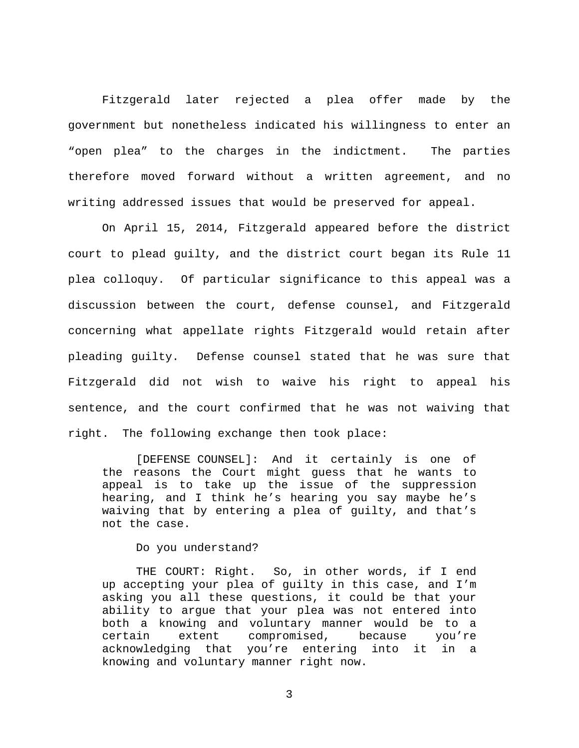Fitzgerald later rejected a plea offer made by the government but nonetheless indicated his willingness to enter an "open plea" to the charges in the indictment. The parties therefore moved forward without a written agreement, and no writing addressed issues that would be preserved for appeal.

On April 15, 2014, Fitzgerald appeared before the district court to plead guilty, and the district court began its Rule 11 plea colloquy. Of particular significance to this appeal was a discussion between the court, defense counsel, and Fitzgerald concerning what appellate rights Fitzgerald would retain after pleading guilty. Defense counsel stated that he was sure that Fitzgerald did not wish to waive his right to appeal his sentence, and the court confirmed that he was not waiving that right. The following exchange then took place:

[DEFENSE COUNSEL]: And it certainly is one of the reasons the Court might guess that he wants to appeal is to take up the issue of the suppression hearing, and I think he's hearing you say maybe he's waiving that by entering a plea of guilty, and that's not the case.

Do you understand?

THE COURT: Right. So, in other words, if I end up accepting your plea of guilty in this case, and I'm asking you all these questions, it could be that your ability to argue that your plea was not entered into both a knowing and voluntary manner would be to a certain extent compromised, because you're<br>acknowledging that you're entering into it in a acknowledging that you're entering into knowing and voluntary manner right now.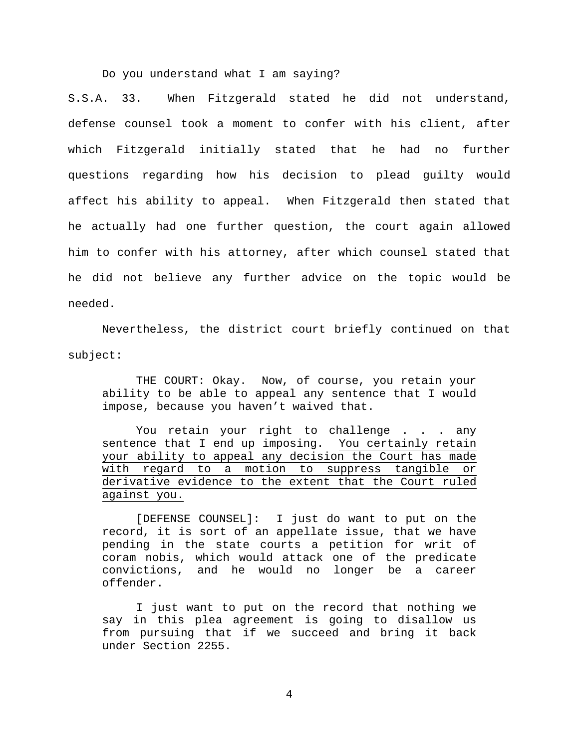Do you understand what I am saying?

S.S.A. 33. When Fitzgerald stated he did not understand, defense counsel took a moment to confer with his client, after which Fitzgerald initially stated that he had no further questions regarding how his decision to plead guilty would affect his ability to appeal. When Fitzgerald then stated that he actually had one further question, the court again allowed him to confer with his attorney, after which counsel stated that he did not believe any further advice on the topic would be needed.

Nevertheless, the district court briefly continued on that subject:

THE COURT: Okay. Now, of course, you retain your ability to be able to appeal any sentence that I would impose, because you haven't waived that.

You retain your right to challenge . . . any sentence that I end up imposing. You certainly retain your ability to appeal any decision the Court has made with regard to a motion to suppress tangible or derivative evidence to the extent that the Court ruled against you.

[DEFENSE COUNSEL]: I just do want to put on the record, it is sort of an appellate issue, that we have pending in the state courts a petition for writ of coram nobis, which would attack one of the predicate convictions, and he would no longer be a career offender.

I just want to put on the record that nothing we say in this plea agreement is going to disallow us from pursuing that if we succeed and bring it back under Section 2255.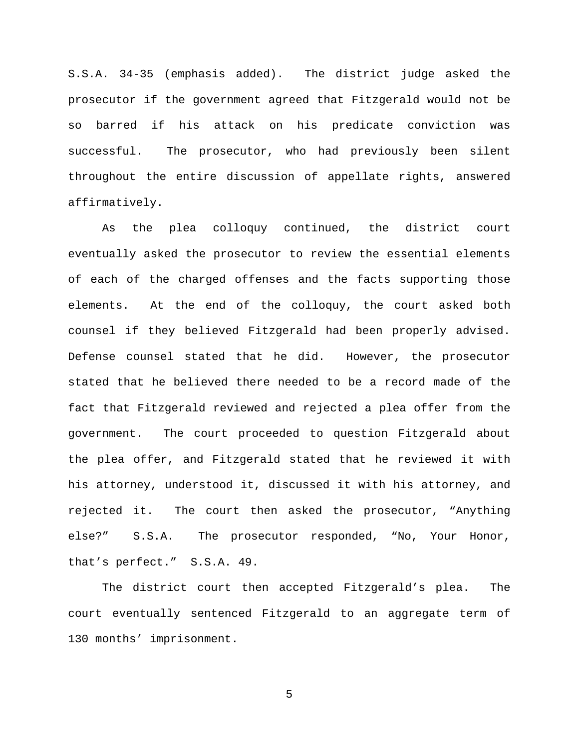S.S.A. 34-35 (emphasis added). The district judge asked the prosecutor if the government agreed that Fitzgerald would not be so barred if his attack on his predicate conviction was successful. The prosecutor, who had previously been silent throughout the entire discussion of appellate rights, answered affirmatively.

As the plea colloquy continued, the district court eventually asked the prosecutor to review the essential elements of each of the charged offenses and the facts supporting those elements. At the end of the colloquy, the court asked both counsel if they believed Fitzgerald had been properly advised. Defense counsel stated that he did. However, the prosecutor stated that he believed there needed to be a record made of the fact that Fitzgerald reviewed and rejected a plea offer from the government. The court proceeded to question Fitzgerald about the plea offer, and Fitzgerald stated that he reviewed it with his attorney, understood it, discussed it with his attorney, and rejected it. The court then asked the prosecutor, "Anything else?" S.S.A. The prosecutor responded, "No, Your Honor, that's perfect." S.S.A. 49.

The district court then accepted Fitzgerald's plea. The court eventually sentenced Fitzgerald to an aggregate term of 130 months' imprisonment.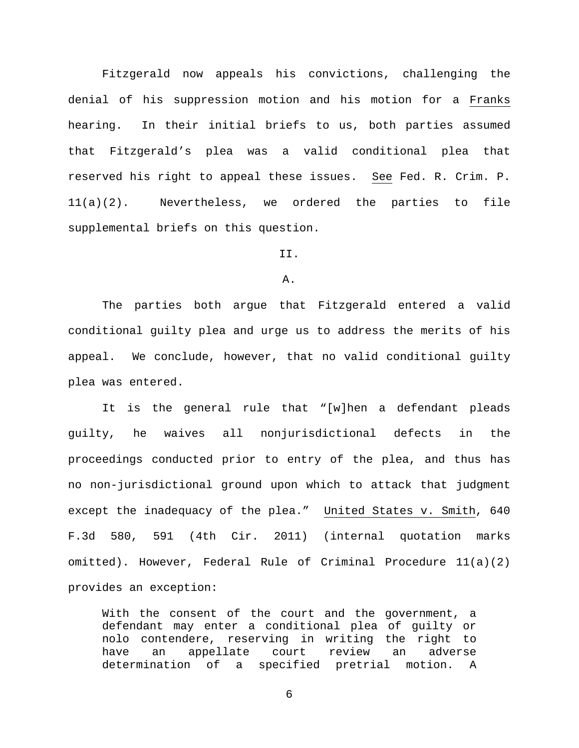Fitzgerald now appeals his convictions, challenging the denial of his suppression motion and his motion for a Franks hearing. In their initial briefs to us, both parties assumed that Fitzgerald's plea was a valid conditional plea that reserved his right to appeal these issues. See Fed. R. Crim. P. 11(a)(2). Nevertheless, we ordered the parties to file supplemental briefs on this question.

II.

A.

The parties both argue that Fitzgerald entered a valid conditional guilty plea and urge us to address the merits of his appeal. We conclude, however, that no valid conditional guilty plea was entered.

It is the general rule that "[w]hen a defendant pleads guilty, he waives all nonjurisdictional defects in the proceedings conducted prior to entry of the plea, and thus has no non-jurisdictional ground upon which to attack that judgment except the inadequacy of the plea." United States v. Smith, 640 F.3d 580, 591 (4th Cir. 2011) (internal quotation marks omitted). However, Federal Rule of Criminal Procedure 11(a)(2) provides an exception:

With the consent of the court and the government, a defendant may enter a conditional plea of guilty or nolo contendere, reserving in writing the right to have an appellate court review an adverse<br>determination of a specified pretrial motion. A of a specified pretrial motion. A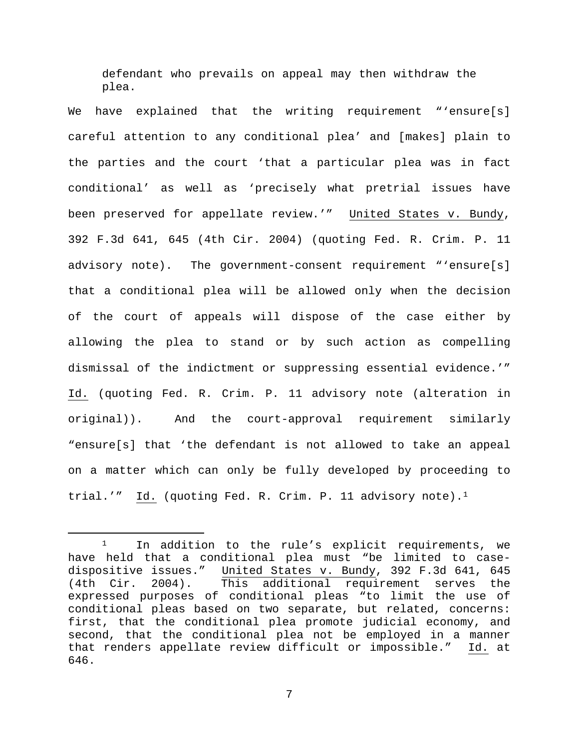defendant who prevails on appeal may then withdraw the plea.

We have explained that the writing requirement "'ensure[s] careful attention to any conditional plea' and [makes] plain to the parties and the court 'that a particular plea was in fact conditional' as well as 'precisely what pretrial issues have been preserved for appellate review.'" United States v. Bundy, 392 F.3d 641, 645 (4th Cir. 2004) (quoting Fed. R. Crim. P. 11 advisory note). The government-consent requirement "'ensure[s] that a conditional plea will be allowed only when the decision of the court of appeals will dispose of the case either by allowing the plea to stand or by such action as compelling dismissal of the indictment or suppressing essential evidence.'" Id. (quoting Fed. R. Crim. P. 11 advisory note (alteration in original)). And the court-approval requirement similarly "ensure[s] that 'the defendant is not allowed to take an appeal on a matter which can only be fully developed by proceeding to trial.'" Id. (quoting Fed. R. Crim. P. 1[1](#page-6-0) advisory note).<sup>1</sup>

<span id="page-6-0"></span><sup>&</sup>lt;sup>1</sup> In addition to the rule's explicit requirements, we have held that a conditional plea must "be limited to casedispositive issues." United States v. Bundy, 392 F.3d 641, 645 (4th Cir. 2004). This additional requirement serves the expressed purposes of conditional pleas "to limit the use of conditional pleas based on two separate, but related, concerns: first, that the conditional plea promote judicial economy, and second, that the conditional plea not be employed in a manner that renders appellate review difficult or impossible." Id. at 646.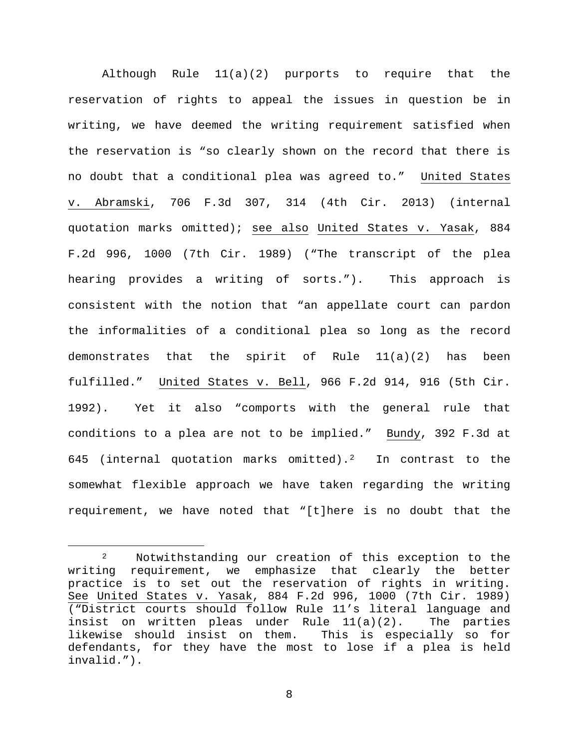Although Rule 11(a)(2) purports to require that the reservation of rights to appeal the issues in question be in writing, we have deemed the writing requirement satisfied when the reservation is "so clearly shown on the record that there is no doubt that a conditional plea was agreed to." United States v. Abramski, 706 F.3d 307, 314 (4th Cir. 2013) (internal quotation marks omitted); see also United States v. Yasak, 884 F.2d 996, 1000 (7th Cir. 1989) ("The transcript of the plea hearing provides a writing of sorts."). This approach is consistent with the notion that "an appellate court can pardon the informalities of a conditional plea so long as the record demonstrates that the spirit of Rule 11(a)(2) has been fulfilled." United States v. Bell, 966 F.2d 914, 916 (5th Cir. 1992). Yet it also "comports with the general rule that conditions to a plea are not to be implied." Bundy, 392 F.3d at 645 (internal quotation marks omitted).<sup>2</sup> In contrast to the somewhat flexible approach we have taken regarding the writing requirement, we have noted that "[t]here is no doubt that the

<span id="page-7-0"></span><sup>&</sup>lt;sup>2</sup> Notwithstanding our creation of this exception to the writing requirement, we emphasize that clearly the better practice is to set out the reservation of rights in writing. See United States v. Yasak, 884 F.2d 996, 1000 (7th Cir. 1989) ("District courts should follow Rule 11's literal language and insist on written pleas under Rule 11(a)(2). The parties likewise should insist on them. This is especially so for defendants, for they have the most to lose if a plea is held invalid.").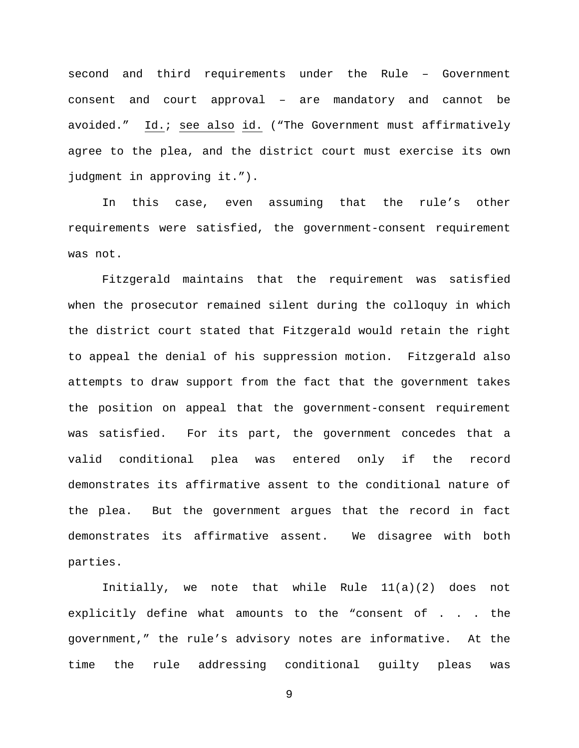second and third requirements under the Rule – Government consent and court approval – are mandatory and cannot be avoided." Id.; see also id. ("The Government must affirmatively agree to the plea, and the district court must exercise its own judgment in approving it.").

In this case, even assuming that the rule's other requirements were satisfied, the government-consent requirement was not.

Fitzgerald maintains that the requirement was satisfied when the prosecutor remained silent during the colloquy in which the district court stated that Fitzgerald would retain the right to appeal the denial of his suppression motion. Fitzgerald also attempts to draw support from the fact that the government takes the position on appeal that the government-consent requirement was satisfied. For its part, the government concedes that a valid conditional plea was entered only if the record demonstrates its affirmative assent to the conditional nature of the plea. But the government argues that the record in fact demonstrates its affirmative assent. We disagree with both parties.

Initially, we note that while Rule 11(a)(2) does not explicitly define what amounts to the "consent of . . . the government," the rule's advisory notes are informative. At the time the rule addressing conditional guilty pleas was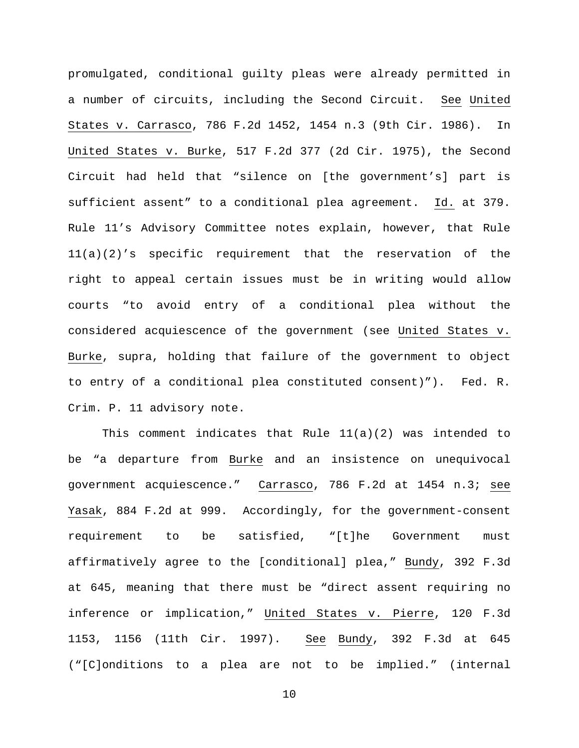promulgated, conditional guilty pleas were already permitted in a number of circuits, including the Second Circuit. See United States v. Carrasco, 786 F.2d 1452, 1454 n.3 (9th Cir. 1986). In United States v. Burke, 517 F.2d 377 (2d Cir. 1975), the Second Circuit had held that "silence on [the government's] part is sufficient assent" to a conditional plea agreement. Id. at 379. Rule 11's Advisory Committee notes explain, however, that Rule 11(a)(2)'s specific requirement that the reservation of the right to appeal certain issues must be in writing would allow courts "to avoid entry of a conditional plea without the considered acquiescence of the government (see United States v. Burke, supra, holding that failure of the government to object to entry of a conditional plea constituted consent)"). Fed. R. Crim. P. 11 advisory note.

This comment indicates that Rule  $11(a)(2)$  was intended to be "a departure from Burke and an insistence on unequivocal government acquiescence." Carrasco, 786 F.2d at 1454 n.3; see Yasak, 884 F.2d at 999. Accordingly, for the government-consent requirement to be satisfied, "[t]he Government must affirmatively agree to the [conditional] plea," Bundy, 392 F.3d at 645, meaning that there must be "direct assent requiring no inference or implication," United States v. Pierre, 120 F.3d 1153, 1156 (11th Cir. 1997). See Bundy, 392 F.3d at 645 ("[C]onditions to a plea are not to be implied." (internal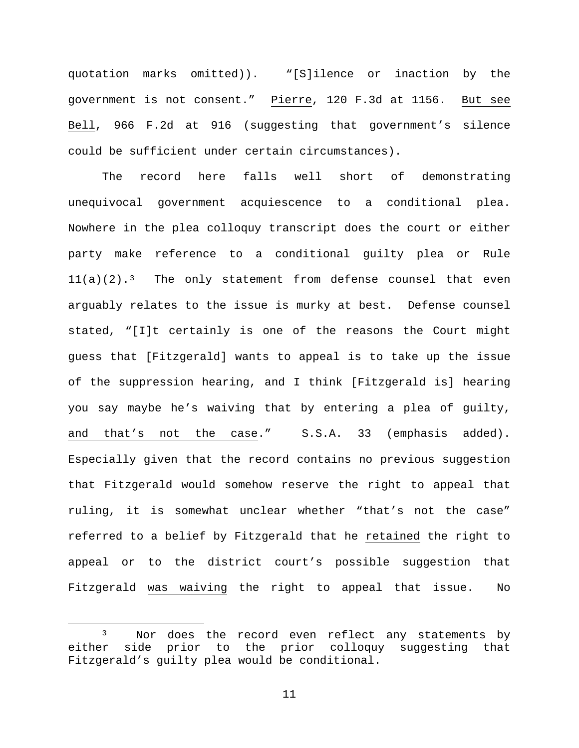quotation marks omitted)). "[S]ilence or inaction by the government is not consent." Pierre, 120 F.3d at 1156. But see Bell, 966 F.2d at 916 (suggesting that government's silence could be sufficient under certain circumstances).

The record here falls well short of demonstrating unequivocal government acquiescence to a conditional plea. Nowhere in the plea colloquy transcript does the court or either party make reference to a conditional guilty plea or Rule  $11(a)(2).<sup>3</sup>$  $11(a)(2).<sup>3</sup>$  $11(a)(2).<sup>3</sup>$  The only statement from defense counsel that even arguably relates to the issue is murky at best. Defense counsel stated, "[I]t certainly is one of the reasons the Court might guess that [Fitzgerald] wants to appeal is to take up the issue of the suppression hearing, and I think [Fitzgerald is] hearing you say maybe he's waiving that by entering a plea of guilty, and that's not the case." S.S.A. 33 (emphasis added). Especially given that the record contains no previous suggestion that Fitzgerald would somehow reserve the right to appeal that ruling, it is somewhat unclear whether "that's not the case" referred to a belief by Fitzgerald that he retained the right to appeal or to the district court's possible suggestion that Fitzgerald was waiving the right to appeal that issue. No

<span id="page-10-0"></span><sup>&</sup>lt;sup>3</sup> Nor does the record even reflect any statements by either side prior to the prior colloquy suggesting that Fitzgerald's guilty plea would be conditional.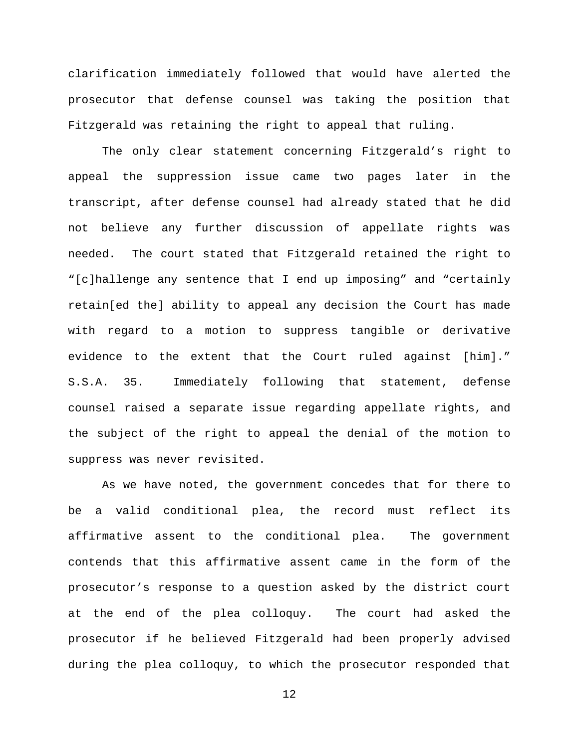clarification immediately followed that would have alerted the prosecutor that defense counsel was taking the position that Fitzgerald was retaining the right to appeal that ruling.

The only clear statement concerning Fitzgerald's right to appeal the suppression issue came two pages later in the transcript, after defense counsel had already stated that he did not believe any further discussion of appellate rights was needed. The court stated that Fitzgerald retained the right to "[c]hallenge any sentence that I end up imposing" and "certainly retain[ed the] ability to appeal any decision the Court has made with regard to a motion to suppress tangible or derivative evidence to the extent that the Court ruled against [him]." S.S.A. 35. Immediately following that statement, defense counsel raised a separate issue regarding appellate rights, and the subject of the right to appeal the denial of the motion to suppress was never revisited.

As we have noted, the government concedes that for there to be a valid conditional plea, the record must reflect its affirmative assent to the conditional plea. The government contends that this affirmative assent came in the form of the prosecutor's response to a question asked by the district court at the end of the plea colloquy. The court had asked the prosecutor if he believed Fitzgerald had been properly advised during the plea colloquy, to which the prosecutor responded that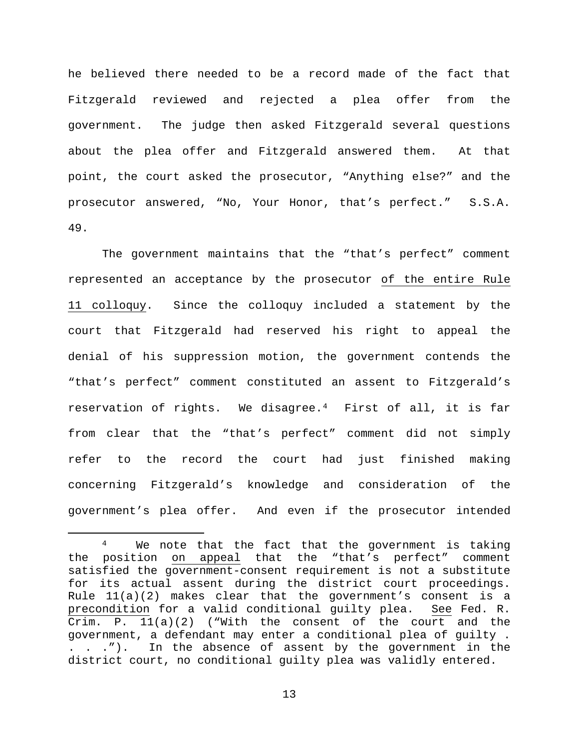he believed there needed to be a record made of the fact that Fitzgerald reviewed and rejected a plea offer from the government. The judge then asked Fitzgerald several questions about the plea offer and Fitzgerald answered them. At that point, the court asked the prosecutor, "Anything else?" and the prosecutor answered, "No, Your Honor, that's perfect." S.S.A. 49.

The government maintains that the "that's perfect" comment represented an acceptance by the prosecutor of the entire Rule 11 colloquy. Since the colloquy included a statement by the court that Fitzgerald had reserved his right to appeal the denial of his suppression motion, the government contends the "that's perfect" comment constituted an assent to Fitzgerald's reservation of rights. We disagree.[4](#page-12-0) First of all, it is far from clear that the "that's perfect" comment did not simply refer to the record the court had just finished making concerning Fitzgerald's knowledge and consideration of the government's plea offer. And even if the prosecutor intended

<span id="page-12-0"></span>We note that the fact that the government is taking the position on appeal that the "that's perfect" comment satisfied the government-consent requirement is not a substitute for its actual assent during the district court proceedings. Rule 11(a)(2) makes clear that the government's consent is a<br>precondition for a valid conditional quilty plea. See Fed. R. precondition for a valid conditional guilty plea. Crim. P.  $11(a)(2)$  ("With the consent of the court and the government, a defendant may enter a conditional plea of guilty . . . ."). In the absence of assent by the government in the district court, no conditional guilty plea was validly entered.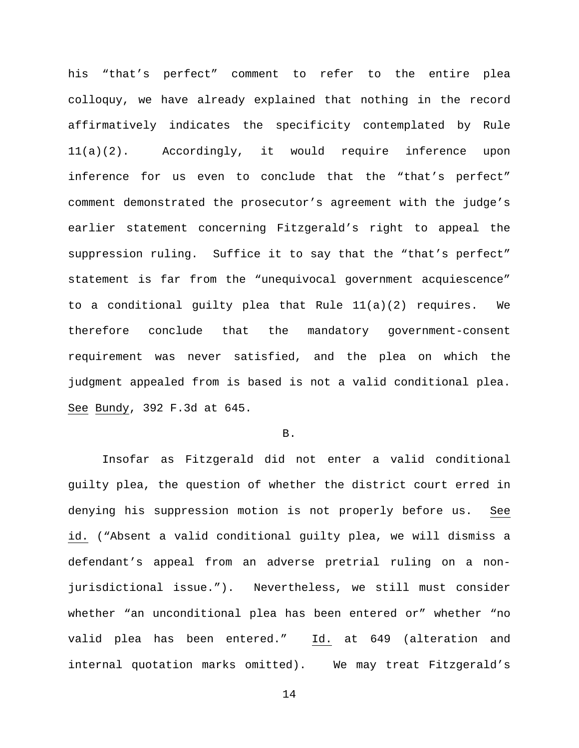his "that's perfect" comment to refer to the entire plea colloquy, we have already explained that nothing in the record affirmatively indicates the specificity contemplated by Rule 11(a)(2). Accordingly, it would require inference upon inference for us even to conclude that the "that's perfect" comment demonstrated the prosecutor's agreement with the judge's earlier statement concerning Fitzgerald's right to appeal the suppression ruling. Suffice it to say that the "that's perfect" statement is far from the "unequivocal government acquiescence" to a conditional guilty plea that Rule 11(a)(2) requires. We therefore conclude that the mandatory government-consent requirement was never satisfied, and the plea on which the judgment appealed from is based is not a valid conditional plea. See Bundy, 392 F.3d at 645.

#### B.

Insofar as Fitzgerald did not enter a valid conditional guilty plea, the question of whether the district court erred in denying his suppression motion is not properly before us. See id. ("Absent a valid conditional guilty plea, we will dismiss a defendant's appeal from an adverse pretrial ruling on a nonjurisdictional issue."). Nevertheless, we still must consider whether "an unconditional plea has been entered or" whether "no valid plea has been entered." Id. at 649 (alteration and internal quotation marks omitted). We may treat Fitzgerald's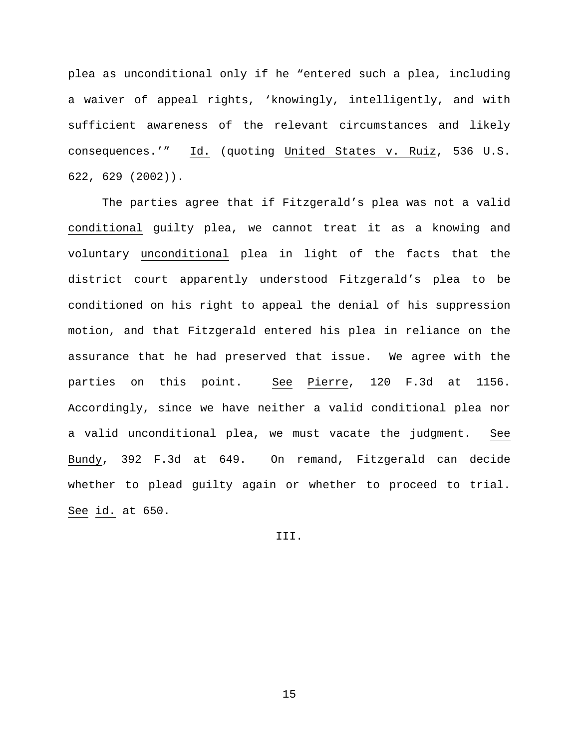plea as unconditional only if he "entered such a plea, including a waiver of appeal rights, 'knowingly, intelligently, and with sufficient awareness of the relevant circumstances and likely consequences.'" Id. (quoting United States v. Ruiz, 536 U.S. 622, 629 (2002)).

The parties agree that if Fitzgerald's plea was not a valid conditional guilty plea, we cannot treat it as a knowing and voluntary unconditional plea in light of the facts that the district court apparently understood Fitzgerald's plea to be conditioned on his right to appeal the denial of his suppression motion, and that Fitzgerald entered his plea in reliance on the assurance that he had preserved that issue. We agree with the parties on this point. See Pierre, 120 F.3d at 1156. Accordingly, since we have neither a valid conditional plea nor a valid unconditional plea, we must vacate the judgment. See Bundy, 392 F.3d at 649. On remand, Fitzgerald can decide whether to plead guilty again or whether to proceed to trial. See id. at 650.

III.